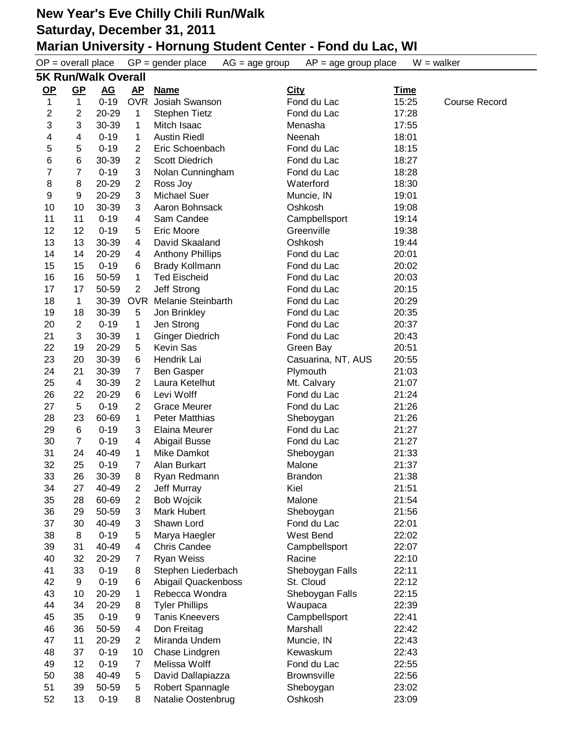|                  | $OP = overall place$       |                   |                     | $GP = gender place$<br>$AG = age$ group | $AP = age$ group place       | $W = walker$   |                      |  |
|------------------|----------------------------|-------------------|---------------------|-----------------------------------------|------------------------------|----------------|----------------------|--|
|                  | <b>5K Run/Walk Overall</b> |                   |                     |                                         |                              |                |                      |  |
| $OP$             | $\underline{\mathsf{GP}}$  | <u>AG</u>         | <u>AP</u>           | <b>Name</b>                             | <b>City</b>                  | <u>Time</u>    |                      |  |
| 1                | $\mathbf{1}$               | $0 - 19$          | <b>OVR</b>          | Josiah Swanson                          | Fond du Lac                  | 15:25          | <b>Course Record</b> |  |
| $\boldsymbol{2}$ | $\boldsymbol{2}$           | 20-29             | 1                   | Stephen Tietz                           | Fond du Lac                  | 17:28          |                      |  |
| 3                | 3                          | 30-39             | $\mathbf 1$         | Mitch Isaac                             | Menasha                      | 17:55          |                      |  |
| 4                | 4                          | $0 - 19$          | 1                   | <b>Austin Riedl</b>                     | Neenah                       | 18:01          |                      |  |
| 5                | 5                          | $0 - 19$          | $\overline{2}$      | Eric Schoenbach                         | Fond du Lac                  | 18:15          |                      |  |
| 6                | 6                          | 30-39             | $\overline{2}$      | <b>Scott Diedrich</b>                   | Fond du Lac                  | 18:27          |                      |  |
| $\overline{7}$   | 7                          | $0 - 19$          | 3                   | Nolan Cunningham                        | Fond du Lac                  | 18:28          |                      |  |
| 8                | 8                          | 20-29             | $\overline{2}$      | Ross Joy                                | Waterford                    | 18:30          |                      |  |
| 9                | 9                          | 20-29             | 3                   | <b>Michael Suer</b>                     | Muncie, IN                   | 19:01          |                      |  |
| 10               | 10                         | 30-39             | 3                   | Aaron Bohnsack                          | Oshkosh                      | 19:08          |                      |  |
| 11               | 11                         | $0 - 19$          | 4                   | Sam Candee                              | Campbellsport                | 19:14          |                      |  |
| 12               | 12                         | $0 - 19$          | 5                   | <b>Eric Moore</b>                       | Greenville                   | 19:38          |                      |  |
| 13               | 13                         | 30-39             | 4                   | David Skaaland                          | Oshkosh                      | 19:44          |                      |  |
| 14               | 14                         | 20-29             | 4                   | <b>Anthony Phillips</b>                 | Fond du Lac                  | 20:01          |                      |  |
| 15               | 15                         | $0 - 19$          | 6                   | <b>Brady Kollmann</b>                   | Fond du Lac                  | 20:02          |                      |  |
| 16               | 16                         | 50-59             | $\mathbf 1$         | <b>Ted Eischeid</b>                     | Fond du Lac                  | 20:03          |                      |  |
| 17               | 17                         | 50-59             | $\overline{2}$      | Jeff Strong                             | Fond du Lac                  | 20:15          |                      |  |
| 18               | 1                          | 30-39             | <b>OVR</b>          | Melanie Steinbarth                      | Fond du Lac                  | 20:29          |                      |  |
| 19               | 18                         | 30-39             | 5                   | Jon Brinkley                            | Fond du Lac                  | 20:35          |                      |  |
| 20               | $\overline{2}$             | $0 - 19$          | 1                   | Jen Strong                              | Fond du Lac                  | 20:37          |                      |  |
| 21               | 3                          | 30-39             | 1                   | <b>Ginger Diedrich</b>                  | Fond du Lac                  | 20:43          |                      |  |
| 22               | 19                         | 20-29             | 5                   | Kevin Sas                               | Green Bay                    | 20:51          |                      |  |
| 23               | 20                         | 30-39             | 6                   | Hendrik Lai                             | Casuarina, NT, AUS           | 20:55          |                      |  |
| 24               | 21                         | 30-39             | 7                   | <b>Ben Gasper</b>                       | Plymouth                     | 21:03          |                      |  |
| 25               | $\overline{4}$             | 30-39             | $\overline{2}$      | Laura Ketelhut                          | Mt. Calvary                  | 21:07          |                      |  |
| 26               | 22                         | 20-29             | 6                   | Levi Wolff                              | Fond du Lac                  | 21:24          |                      |  |
| 27               | 5                          | $0 - 19$          | 2                   | <b>Grace Meurer</b>                     | Fond du Lac                  | 21:26          |                      |  |
| 28               | 23                         | 60-69             | 1                   | <b>Peter Matthias</b>                   | Sheboygan                    | 21:26          |                      |  |
| 29               | $\,6$                      | $0 - 19$          | 3                   | Elaina Meurer                           | Fond du Lac                  | 21:27          |                      |  |
| 30               | $\overline{7}$             | $0 - 19$          | 4                   | Abigail Busse                           | Fond du Lac                  | 21:27          |                      |  |
| 31               | 24                         | 40-49             | $\mathbf{1}$        | Mike Damkot                             | Sheboygan                    | 21:33          |                      |  |
| 32               | 25                         | $0 - 19$          | $\overline{7}$      | Alan Burkart                            | Malone                       | 21:37          |                      |  |
| 33               | 26                         | 30-39             | 8                   | Ryan Redmann                            | <b>Brandon</b>               | 21:38          |                      |  |
| 34               | 27                         | 40-49             | $\overline{2}$      | Jeff Murray                             | Kiel                         | 21:51          |                      |  |
| 35               | 28                         | 60-69             | $\overline{c}$      | <b>Bob Wojcik</b>                       | Malone                       | 21:54          |                      |  |
| 36               | 29                         | 50-59             | 3                   | Mark Hubert                             | Sheboygan                    | 21:56          |                      |  |
| 37               | 30                         | 40-49             | 3                   | Shawn Lord                              | Fond du Lac                  | 22:01          |                      |  |
| 38               | 8<br>31                    | $0 - 19$<br>40-49 | 5                   | Marya Haegler                           | West Bend                    | 22:02          |                      |  |
| 39<br>40         | 32                         | 20-29             | 4<br>$\overline{7}$ | <b>Chris Candee</b>                     | Campbellsport                | 22:07<br>22:10 |                      |  |
| 41               | 33                         | $0 - 19$          | 8                   | <b>Ryan Weiss</b><br>Stephen Liederbach | Racine                       | 22:11          |                      |  |
| 42               | 9                          | $0 - 19$          |                     | Abigail Quackenboss                     | Sheboygan Falls<br>St. Cloud | 22:12          |                      |  |
| 43               | 10                         | 20-29             | 6<br>1              | Rebecca Wondra                          | Sheboygan Falls              | 22:15          |                      |  |
| 44               | 34                         | 20-29             | 8                   | <b>Tyler Phillips</b>                   | Waupaca                      | 22:39          |                      |  |
| 45               | 35                         | $0 - 19$          | 9                   | <b>Tanis Kneevers</b>                   | Campbellsport                | 22:41          |                      |  |
| 46               | 36                         | 50-59             | 4                   | Don Freitag                             | Marshall                     | 22:42          |                      |  |
| 47               | 11                         | 20-29             | $\overline{2}$      | Miranda Undem                           | Muncie, IN                   | 22:43          |                      |  |
| 48               | 37                         | $0 - 19$          | 10                  | Chase Lindgren                          | Kewaskum                     | 22:43          |                      |  |
| 49               | 12                         | $0 - 19$          | 7                   | Melissa Wolff                           | Fond du Lac                  | 22:55          |                      |  |
| 50               | 38                         | 40-49             | 5                   | David Dallapiazza                       | <b>Brownsville</b>           | 22:56          |                      |  |
| 51               | 39                         | 50-59             | 5                   | Robert Spannagle                        | Sheboygan                    | 23:02          |                      |  |
| 52               | 13                         | $0 - 19$          | 8                   | Natalie Oostenbrug                      | Oshkosh                      | 23:09          |                      |  |
|                  |                            |                   |                     |                                         |                              |                |                      |  |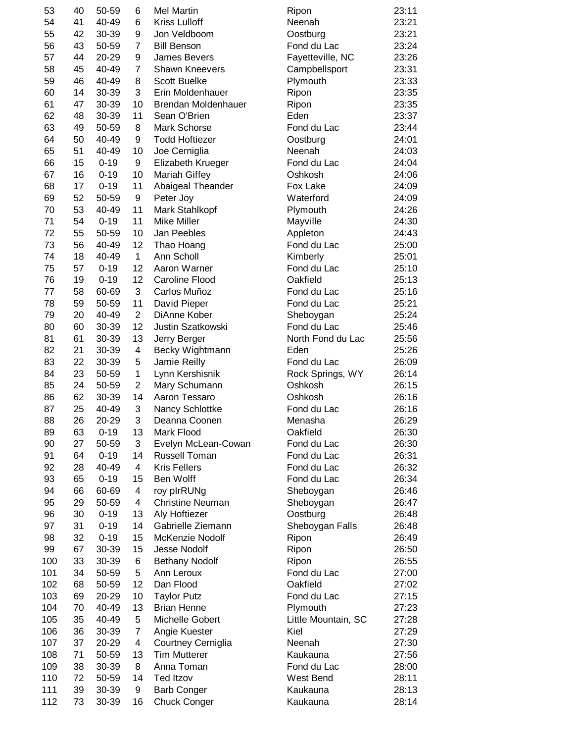| 53  | 40 | 50-59    | 6              | <b>Mel Martin</b>       | Ripon               | 23:11 |
|-----|----|----------|----------------|-------------------------|---------------------|-------|
| 54  | 41 | 40-49    | 6              | <b>Kriss Lulloff</b>    | Neenah              | 23:21 |
| 55  | 42 | 30-39    | 9              | Jon Veldboom            | Oostburg            | 23:21 |
| 56  | 43 | 50-59    | $\overline{7}$ | <b>Bill Benson</b>      | Fond du Lac         | 23:24 |
| 57  | 44 | 20-29    | 9              | James Bevers            | Fayetteville, NC    | 23:26 |
| 58  | 45 | 40-49    | 7              | <b>Shawn Kneevers</b>   | Campbellsport       | 23:31 |
| 59  | 46 | 40-49    | 8              | <b>Scott Buelke</b>     | Plymouth            | 23:33 |
| 60  | 14 | 30-39    | 3              | Erin Moldenhauer        | Ripon               | 23:35 |
| 61  | 47 | 30-39    | 10             | Brendan Moldenhauer     | Ripon               | 23:35 |
| 62  | 48 | 30-39    | 11             | Sean O'Brien            | Eden                | 23:37 |
|     |    |          |                | Mark Schorse            |                     | 23:44 |
| 63  | 49 | 50-59    | 8              |                         | Fond du Lac         |       |
| 64  | 50 | 40-49    | 9              | <b>Todd Hoftiezer</b>   | Oostburg            | 24:01 |
| 65  | 51 | 40-49    | 10             | Joe Cerniglia           | Neenah              | 24:03 |
| 66  | 15 | $0 - 19$ | 9              | Elizabeth Krueger       | Fond du Lac         | 24:04 |
| 67  | 16 | $0 - 19$ | 10             | <b>Mariah Giffey</b>    | Oshkosh             | 24:06 |
| 68  | 17 | $0 - 19$ | 11             | Abaigeal Theander       | Fox Lake            | 24:09 |
| 69  | 52 | 50-59    | 9              | Peter Joy               | Waterford           | 24:09 |
| 70  | 53 | 40-49    | 11             | Mark Stahlkopf          | Plymouth            | 24:26 |
| 71  | 54 | $0 - 19$ | 11             | <b>Mike Miller</b>      | Mayville            | 24:30 |
| 72  | 55 | 50-59    | 10             | Jan Peebles             | Appleton            | 24:43 |
| 73  | 56 | 40-49    | 12             | Thao Hoang              | Fond du Lac         | 25:00 |
| 74  | 18 | 40-49    | 1              | Ann Scholl              | Kimberly            | 25:01 |
| 75  | 57 | $0 - 19$ | 12             | Aaron Warner            | Fond du Lac         | 25:10 |
| 76  | 19 | $0 - 19$ | 12             | Caroline Flood          | Oakfield            | 25:13 |
| 77  | 58 | 60-69    | 3              | Carlos Muñoz            | Fond du Lac         | 25:16 |
| 78  | 59 | 50-59    | 11             | David Pieper            | Fond du Lac         | 25:21 |
|     |    |          | $\overline{2}$ | DiAnne Kober            |                     |       |
| 79  | 20 | 40-49    |                |                         | Sheboygan           | 25:24 |
| 80  | 60 | 30-39    | 12             | Justin Szatkowski       | Fond du Lac         | 25:46 |
| 81  | 61 | 30-39    | 13             | Jerry Berger            | North Fond du Lac   | 25:56 |
| 82  | 21 | 30-39    | 4              | Becky Wightmann         | Eden                | 25:26 |
| 83  | 22 | 30-39    | 5              | Jamie Reilly            | Fond du Lac         | 26:09 |
| 84  | 23 | 50-59    | 1              | Lynn Kershisnik         | Rock Springs, WY    | 26:14 |
| 85  | 24 | 50-59    | $\overline{2}$ | Mary Schumann           | Oshkosh             | 26:15 |
| 86  | 62 | 30-39    | 14             | Aaron Tessaro           | Oshkosh             | 26:16 |
| 87  | 25 | 40-49    | 3              | Nancy Schlottke         | Fond du Lac         | 26:16 |
| 88  | 26 | 20-29    | 3              | Deanna Coonen           | Menasha             | 26:29 |
| 89  | 63 | $0 - 19$ | 13             | Mark Flood              | Oakfield            | 26:30 |
| 90  | 27 | 50-59    | 3              | Evelyn McLean-Cowan     | Fond du Lac         | 26:30 |
| 91  | 64 | $0 - 19$ | 14             | <b>Russell Toman</b>    | Fond du Lac         | 26:31 |
| 92  | 28 | 40-49    | 4              | <b>Kris Fellers</b>     | Fond du Lac         | 26:32 |
| 93  | 65 | $0 - 19$ | 15             | Ben Wolff               | Fond du Lac         | 26:34 |
|     |    | 60-69    | 4              |                         |                     |       |
| 94  | 66 |          |                | roy plrRUNg             | Sheboygan           | 26:46 |
| 95  | 29 | 50-59    | 4              | <b>Christine Neuman</b> | Sheboygan           | 26:47 |
| 96  | 30 | $0 - 19$ | 13             | Aly Hoftiezer           | Oostburg            | 26:48 |
| 97  | 31 | $0 - 19$ | 14             | Gabrielle Ziemann       | Sheboygan Falls     | 26:48 |
| 98  | 32 | $0 - 19$ | 15             | McKenzie Nodolf         | Ripon               | 26:49 |
| 99  | 67 | 30-39    | 15             | <b>Jesse Nodolf</b>     | Ripon               | 26:50 |
| 100 | 33 | 30-39    | 6              | <b>Bethany Nodolf</b>   | Ripon               | 26:55 |
| 101 | 34 | 50-59    | 5              | Ann Leroux              | Fond du Lac         | 27:00 |
| 102 | 68 | 50-59    | 12             | Dan Flood               | Oakfield            | 27:02 |
| 103 | 69 | 20-29    | 10             | <b>Taylor Putz</b>      | Fond du Lac         | 27:15 |
| 104 | 70 | 40-49    | 13             | <b>Brian Henne</b>      | Plymouth            | 27:23 |
| 105 | 35 | 40-49    | 5              | Michelle Gobert         | Little Mountain, SC | 27:28 |
| 106 | 36 | 30-39    | $\overline{7}$ | Angie Kuester           | Kiel                | 27:29 |
| 107 | 37 | 20-29    | 4              | Courtney Cerniglia      | Neenah              | 27:30 |
| 108 | 71 | 50-59    |                | <b>Tim Mutterer</b>     | Kaukauna            | 27:56 |
|     |    |          | 13             |                         |                     |       |
| 109 | 38 | 30-39    | 8              | Anna Toman              | Fond du Lac         | 28:00 |
| 110 | 72 | 50-59    | 14             | <b>Ted Itzov</b>        | West Bend           | 28:11 |
| 111 | 39 | 30-39    | 9              | <b>Barb Conger</b>      | Kaukauna            | 28:13 |
| 112 | 73 | 30-39    | 16             | <b>Chuck Conger</b>     | Kaukauna            | 28:14 |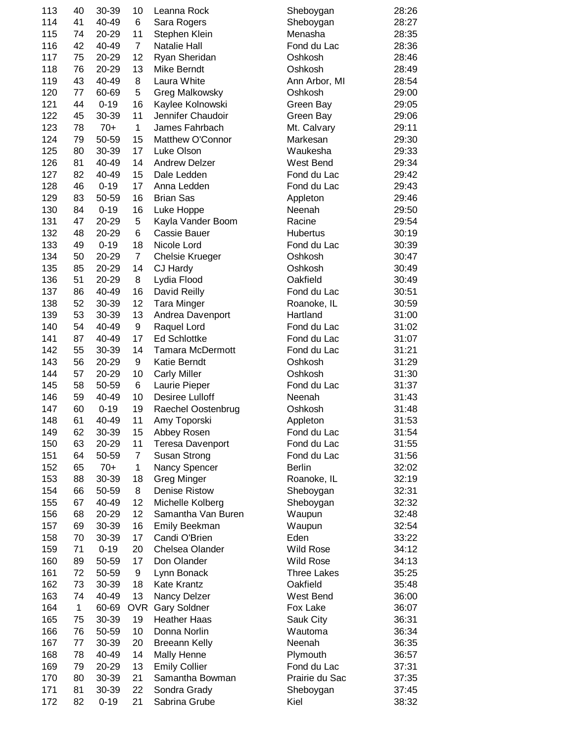| 113 | 40           | 30-39    | 10             | Leanna Rock             | Sheboygan          | 28:26 |
|-----|--------------|----------|----------------|-------------------------|--------------------|-------|
| 114 | 41           | 40-49    | 6              | Sara Rogers             | Sheboygan          | 28:27 |
| 115 | 74           | 20-29    | 11             | Stephen Klein           | Menasha            | 28:35 |
| 116 | 42           | 40-49    | $\overline{7}$ | <b>Natalie Hall</b>     | Fond du Lac        | 28:36 |
| 117 | 75           | 20-29    | 12             | Ryan Sheridan           | Oshkosh            | 28:46 |
| 118 | 76           | 20-29    | 13             | Mike Berndt             | Oshkosh            | 28:49 |
| 119 | 43           | 40-49    | 8              | Laura White             | Ann Arbor, MI      | 28:54 |
| 120 | 77           | 60-69    | 5              | Greg Malkowsky          | Oshkosh            | 29:00 |
| 121 | 44           | $0 - 19$ | 16             | Kaylee Kolnowski        | Green Bay          | 29:05 |
| 122 | 45           | 30-39    | 11             | Jennifer Chaudoir       | Green Bay          | 29:06 |
| 123 |              | $70+$    | $\mathbf{1}$   | James Fahrbach          |                    |       |
|     | 78           |          |                |                         | Mt. Calvary        | 29:11 |
| 124 | 79           | 50-59    | 15             | Matthew O'Connor        | Markesan           | 29:30 |
| 125 | 80           | 30-39    | 17             | Luke Olson              | Waukesha           | 29:33 |
| 126 | 81           | 40-49    | 14             | <b>Andrew Delzer</b>    | West Bend          | 29:34 |
| 127 | 82           | 40-49    | 15             | Dale Ledden             | Fond du Lac        | 29:42 |
| 128 | 46           | $0 - 19$ | 17             | Anna Ledden             | Fond du Lac        | 29:43 |
| 129 | 83           | 50-59    | 16             | <b>Brian Sas</b>        | Appleton           | 29:46 |
| 130 | 84           | $0 - 19$ | 16             | Luke Hoppe              | Neenah             | 29:50 |
| 131 | 47           | 20-29    | 5              | Kayla Vander Boom       | Racine             | 29:54 |
| 132 | 48           | 20-29    | 6              | <b>Cassie Bauer</b>     | <b>Hubertus</b>    | 30:19 |
| 133 | 49           | $0 - 19$ | 18             | Nicole Lord             | Fond du Lac        | 30:39 |
| 134 | 50           | 20-29    | $\overline{7}$ | <b>Chelsie Krueger</b>  | Oshkosh            | 30:47 |
| 135 | 85           | 20-29    | 14             | CJ Hardy                | Oshkosh            | 30:49 |
| 136 | 51           | 20-29    | 8              | Lydia Flood             | Oakfield           | 30:49 |
| 137 | 86           | 40-49    | 16             | David Reilly            | Fond du Lac        | 30:51 |
| 138 | 52           | 30-39    | 12             |                         | Roanoke, IL        | 30:59 |
|     |              |          |                | <b>Tara Minger</b>      | Hartland           |       |
| 139 | 53           | 30-39    | 13             | Andrea Davenport        |                    | 31:00 |
| 140 | 54           | 40-49    | 9              | Raquel Lord             | Fond du Lac        | 31:02 |
| 141 | 87           | 40-49    | 17             | <b>Ed Schlottke</b>     | Fond du Lac        | 31:07 |
| 142 | 55           | 30-39    | 14             | <b>Tamara McDermott</b> | Fond du Lac        | 31:21 |
| 143 | 56           | 20-29    | 9              | Katie Berndt            | Oshkosh            | 31:29 |
| 144 | 57           | 20-29    | 10             | <b>Carly Miller</b>     | Oshkosh            | 31:30 |
| 145 | 58           | 50-59    | 6              | Laurie Pieper           | Fond du Lac        | 31:37 |
| 146 | 59           | 40-49    | 10             | Desiree Lulloff         | Neenah             | 31:43 |
| 147 | 60           | $0 - 19$ | 19             | Raechel Oostenbrug      | Oshkosh            | 31:48 |
| 148 | 61           | 40-49    | 11             | Amy Toporski            | Appleton           | 31:53 |
| 149 | 62           | 30-39    | 15             | Abbey Rosen             | Fond du Lac        | 31:54 |
| 150 | 63           | 20-29    | 11             | <b>Teresa Davenport</b> | Fond du Lac        | 31:55 |
| 151 | 64           | 50-59    | $\overline{7}$ | <b>Susan Strong</b>     | Fond du Lac        | 31:56 |
| 152 | 65           | $70+$    | $\mathbf{1}$   | Nancy Spencer           | <b>Berlin</b>      | 32:02 |
| 153 | 88           | 30-39    | 18             | Greg Minger             | Roanoke, IL        | 32:19 |
| 154 | 66           | 50-59    | 8              | <b>Denise Ristow</b>    | Sheboygan          | 32:31 |
| 155 | 67           | 40-49    | 12             | Michelle Kolberg        | Sheboygan          | 32:32 |
| 156 | 68           | 20-29    | 12             | Samantha Van Buren      | Waupun             | 32:48 |
| 157 | 69           |          | 16             |                         |                    |       |
|     |              | 30-39    |                | Emily Beekman           | Waupun             | 32:54 |
| 158 | 70           | 30-39    | 17             | Candi O'Brien           | Eden               | 33:22 |
| 159 | 71           | $0 - 19$ | 20             | Chelsea Olander         | <b>Wild Rose</b>   | 34:12 |
| 160 | 89           | 50-59    | 17             | Don Olander             | <b>Wild Rose</b>   | 34:13 |
| 161 | 72           | 50-59    | 9              | Lynn Bonack             | <b>Three Lakes</b> | 35:25 |
| 162 | 73           | 30-39    | 18             | <b>Kate Krantz</b>      | Oakfield           | 35:48 |
| 163 | 74           | 40-49    | 13             | Nancy Delzer            | West Bend          | 36:00 |
| 164 | $\mathbf{1}$ | 60-69    | <b>OVR</b>     | <b>Gary Soldner</b>     | Fox Lake           | 36:07 |
| 165 | 75           | 30-39    | 19             | <b>Heather Haas</b>     | Sauk City          | 36:31 |
| 166 | 76           | 50-59    | 10             | Donna Norlin            | Wautoma            | 36:34 |
| 167 | 77           | 30-39    | 20             | <b>Breeann Kelly</b>    | Neenah             | 36:35 |
| 168 | 78           | 40-49    | 14             | Mally Henne             | Plymouth           | 36:57 |
| 169 | 79           | 20-29    | 13             | <b>Emily Collier</b>    | Fond du Lac        | 37:31 |
| 170 | 80           | 30-39    | 21             | Samantha Bowman         | Prairie du Sac     | 37:35 |
| 171 | 81           | 30-39    | 22             | Sondra Grady            |                    | 37:45 |
|     |              |          |                |                         | Sheboygan          |       |
| 172 | 82           | $0 - 19$ | 21             | Sabrina Grube           | Kiel               | 38:32 |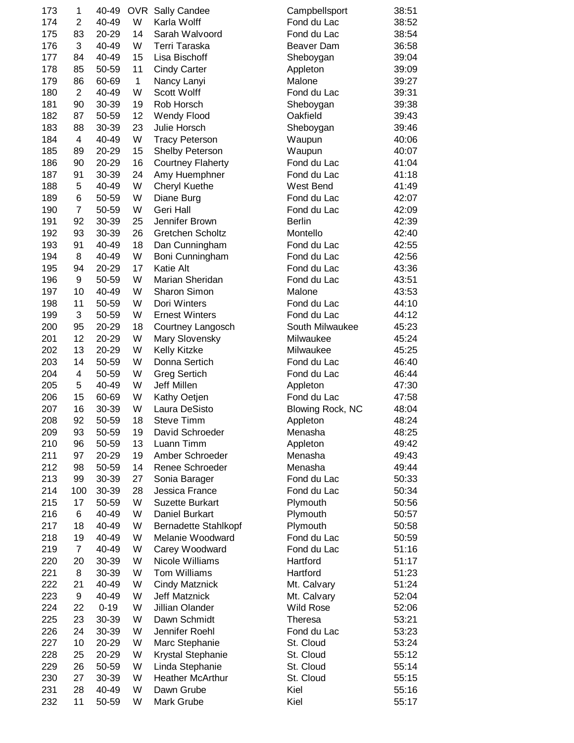| 173 | 1                       | 40-49    | <b>OVR</b>  | Sally Candee                | Campbellsport           | 38:51 |
|-----|-------------------------|----------|-------------|-----------------------------|-------------------------|-------|
| 174 | $\overline{2}$          | 40-49    | W           | Karla Wolff                 | Fond du Lac             | 38:52 |
| 175 | 83                      | 20-29    | 14          | Sarah Walvoord              | Fond du Lac             | 38:54 |
| 176 | 3                       | 40-49    | W           | Terri Taraska               | Beaver Dam              | 36:58 |
| 177 | 84                      | 40-49    | 15          | Lisa Bischoff               | Sheboygan               | 39:04 |
| 178 | 85                      | 50-59    | 11          | <b>Cindy Carter</b>         | Appleton                | 39:09 |
| 179 | 86                      | 60-69    | $\mathbf 1$ | Nancy Lanyi                 | Malone                  | 39:27 |
| 180 | $\overline{2}$          | 40-49    | W           | Scott Wolff                 | Fond du Lac             | 39:31 |
| 181 | 90                      | 30-39    | 19          | Rob Horsch                  | Sheboygan               | 39:38 |
| 182 | 87                      | 50-59    | 12          | <b>Wendy Flood</b>          | Oakfield                | 39:43 |
| 183 | 88                      | 30-39    | 23          | Julie Horsch                |                         | 39:46 |
|     |                         |          |             |                             | Sheboygan               |       |
| 184 | $\overline{\mathbf{4}}$ | 40-49    | W           | <b>Tracy Peterson</b>       | Waupun                  | 40:06 |
| 185 | 89                      | 20-29    | 15          | Shelby Peterson             | Waupun                  | 40:07 |
| 186 | 90                      | 20-29    | 16          | <b>Courtney Flaherty</b>    | Fond du Lac             | 41:04 |
| 187 | 91                      | 30-39    | 24          | Amy Huemphner               | Fond du Lac             | 41:18 |
| 188 | 5                       | 40-49    | W           | <b>Cheryl Kuethe</b>        | West Bend               | 41:49 |
| 189 | 6                       | 50-59    | W           | Diane Burg                  | Fond du Lac             | 42:07 |
| 190 | $\overline{7}$          | 50-59    | W           | Geri Hall                   | Fond du Lac             | 42:09 |
| 191 | 92                      | 30-39    | 25          | Jennifer Brown              | <b>Berlin</b>           | 42:39 |
| 192 | 93                      | 30-39    | 26          | <b>Gretchen Scholtz</b>     | Montello                | 42:40 |
| 193 | 91                      | 40-49    | 18          | Dan Cunningham              | Fond du Lac             | 42:55 |
| 194 | 8                       | 40-49    | W           | Boni Cunningham             | Fond du Lac             | 42:56 |
| 195 | 94                      | 20-29    | 17          | Katie Alt                   | Fond du Lac             | 43:36 |
| 196 | 9                       | 50-59    | W           | Marian Sheridan             | Fond du Lac             | 43:51 |
| 197 | 10                      | 40-49    | W           | Sharon Simon                | Malone                  | 43:53 |
| 198 | 11                      | 50-59    | W           | Dori Winters                | Fond du Lac             | 44:10 |
| 199 | 3                       | 50-59    | W           | <b>Ernest Winters</b>       | Fond du Lac             | 44:12 |
|     |                         |          |             |                             |                         |       |
| 200 | 95                      | 20-29    | 18          | Courtney Langosch           | South Milwaukee         | 45:23 |
| 201 | 12                      | 20-29    | W           | Mary Slovensky              | Milwaukee               | 45:24 |
| 202 | 13                      | 20-29    | W           | Kelly Kitzke                | Milwaukee               | 45:25 |
| 203 | 14                      | 50-59    | W           | Donna Sertich               | Fond du Lac             | 46:40 |
| 204 | 4                       | 50-59    | W           | <b>Greg Sertich</b>         | Fond du Lac             | 46:44 |
| 205 | 5                       | 40-49    | W           | <b>Jeff Millen</b>          | Appleton                | 47:30 |
| 206 | 15                      | 60-69    | W           | Kathy Oetjen                | Fond du Lac             | 47:58 |
| 207 | 16                      | 30-39    | W           | Laura DeSisto               | <b>Blowing Rock, NC</b> | 48:04 |
| 208 | 92                      | 50-59    | 18          | <b>Steve Timm</b>           | Appleton                | 48:24 |
| 209 | 93                      | 50-59    | 19          | David Schroeder             | Menasha                 | 48:25 |
| 210 | 96                      | 50-59    | 13          | Luann Timm                  | Appleton                | 49:42 |
| 211 | 97                      | 20-29    | 19          | Amber Schroeder             | Menasha                 | 49:43 |
| 212 | 98                      | 50-59    | 14          | Renee Schroeder             | Menasha                 | 49:44 |
| 213 | 99                      | 30-39    | 27          | Sonia Barager               | Fond du Lac             | 50:33 |
| 214 | 100                     | 30-39    | 28          | Jessica France              | Fond du Lac             | 50:34 |
| 215 | 17                      | 50-59    | W           | <b>Suzette Burkart</b>      | Plymouth                | 50:56 |
| 216 | 6                       | 40-49    | W           | Daniel Burkart              | Plymouth                | 50:57 |
| 217 | 18                      | 40-49    | W           | <b>Bernadette Stahlkopf</b> | Plymouth                | 50:58 |
| 218 | 19                      | 40-49    | W           | Melanie Woodward            | Fond du Lac             | 50:59 |
|     |                         |          |             |                             |                         |       |
| 219 | 7                       | 40-49    | W           | Carey Woodward              | Fond du Lac             | 51:16 |
| 220 | 20                      | 30-39    | W           | Nicole Williams             | Hartford                | 51:17 |
| 221 | 8                       | 30-39    | W           | Tom Williams                | Hartford                | 51:23 |
| 222 | 21                      | 40-49    | W           | <b>Cindy Matznick</b>       | Mt. Calvary             | 51:24 |
| 223 | 9                       | 40-49    | W           | <b>Jeff Matznick</b>        | Mt. Calvary             | 52:04 |
| 224 | 22                      | $0 - 19$ | W           | Jillian Olander             | <b>Wild Rose</b>        | 52:06 |
| 225 | 23                      | 30-39    | W           | Dawn Schmidt                | Theresa                 | 53:21 |
| 226 | 24                      | 30-39    | W           | Jennifer Roehl              | Fond du Lac             | 53:23 |
| 227 | 10                      | 20-29    | W           | Marc Stephanie              | St. Cloud               | 53:24 |
| 228 | 25                      | 20-29    | W           | Krystal Stephanie           | St. Cloud               | 55:12 |
| 229 | 26                      | 50-59    | W           | Linda Stephanie             | St. Cloud               | 55:14 |
| 230 | 27                      | 30-39    | W           | <b>Heather McArthur</b>     | St. Cloud               | 55:15 |
| 231 | 28                      | 40-49    | W           | Dawn Grube                  | Kiel                    | 55:16 |
| 232 | 11                      | 50-59    | W           | Mark Grube                  | Kiel                    | 55:17 |
|     |                         |          |             |                             |                         |       |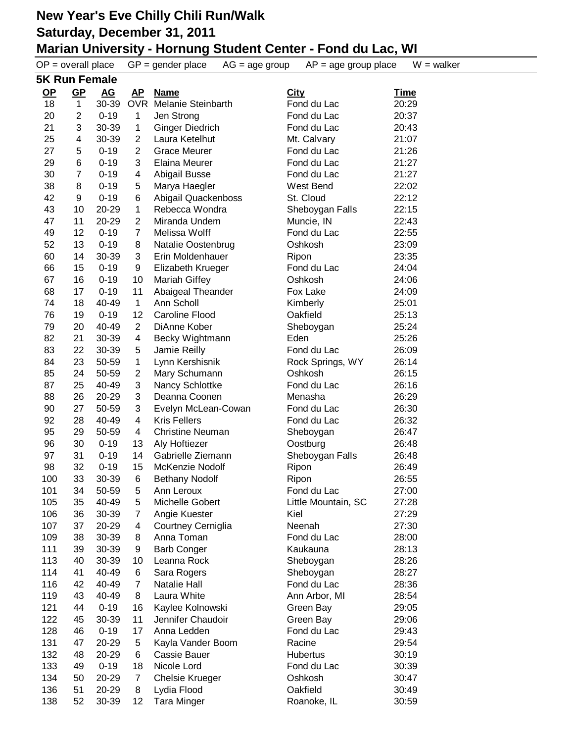|      | $OP = overall place$ |                  |                | $GP = gender place$<br>$AG = age$ group | $AP = age$ group place | $W = walker$ |  |  |
|------|----------------------|------------------|----------------|-----------------------------------------|------------------------|--------------|--|--|
|      | <b>5K Run Female</b> |                  |                |                                         |                        |              |  |  |
| $OP$ | $GP$                 | $\underline{AG}$ | <u>AP</u>      | <b>Name</b>                             | <b>City</b>            | <u>Time</u>  |  |  |
| 18   | 1                    | 30-39            | <b>OVR</b>     | <b>Melanie Steinbarth</b>               | Fond du Lac            | 20:29        |  |  |
| 20   | $\overline{2}$       | $0 - 19$         | 1              | Jen Strong                              | Fond du Lac            | 20:37        |  |  |
| 21   | 3                    | 30-39            | 1              | <b>Ginger Diedrich</b>                  | Fond du Lac            | 20:43        |  |  |
| 25   | 4                    | 30-39            | $\overline{2}$ | Laura Ketelhut                          | Mt. Calvary            | 21:07        |  |  |
| 27   | 5                    | $0 - 19$         | $\overline{2}$ | <b>Grace Meurer</b>                     | Fond du Lac            | 21:26        |  |  |
| 29   | 6                    | $0 - 19$         | 3              | <b>Elaina Meurer</b>                    | Fond du Lac            | 21:27        |  |  |
| 30   | $\overline{7}$       | $0 - 19$         | 4              | Abigail Busse                           | Fond du Lac            | 21:27        |  |  |
| 38   | 8                    | $0 - 19$         | 5              | Marya Haegler                           | West Bend              | 22:02        |  |  |
| 42   | 9                    | $0 - 19$         | 6              | Abigail Quackenboss                     | St. Cloud              | 22:12        |  |  |
| 43   | 10                   | 20-29            | 1              | Rebecca Wondra                          | Sheboygan Falls        | 22:15        |  |  |
| 47   | 11                   | 20-29            | 2              | Miranda Undem                           | Muncie, IN             | 22:43        |  |  |
| 49   | 12                   | $0 - 19$         | $\overline{7}$ | Melissa Wolff                           | Fond du Lac            | 22:55        |  |  |
| 52   | 13                   | $0 - 19$         | 8              | Natalie Oostenbrug                      | Oshkosh                | 23:09        |  |  |
| 60   | 14                   | 30-39            | 3              | Erin Moldenhauer                        | Ripon                  | 23:35        |  |  |
| 66   | 15                   | $0 - 19$         | 9              | Elizabeth Krueger                       | Fond du Lac            | 24:04        |  |  |
| 67   | 16                   | $0 - 19$         | 10             | <b>Mariah Giffey</b>                    | Oshkosh                | 24:06        |  |  |
| 68   | 17                   | $0 - 19$         | 11             | Abaigeal Theander                       | Fox Lake               | 24:09        |  |  |
| 74   | 18                   | 40-49            | $\mathbf{1}$   | Ann Scholl                              | Kimberly               | 25:01        |  |  |
| 76   | 19                   | $0 - 19$         | 12             | <b>Caroline Flood</b>                   | Oakfield               | 25:13        |  |  |
| 79   | 20                   | 40-49            | $\overline{c}$ | DiAnne Kober                            | Sheboygan              | 25:24        |  |  |
| 82   | 21                   | 30-39            | 4              | Becky Wightmann                         | Eden                   | 25:26        |  |  |
| 83   | 22                   | 30-39            | 5              | Jamie Reilly                            | Fond du Lac            | 26:09        |  |  |
| 84   | 23                   | 50-59            | 1              | Lynn Kershisnik                         | Rock Springs, WY       | 26:14        |  |  |
| 85   | 24                   | 50-59            | $\overline{2}$ | Mary Schumann                           | Oshkosh                | 26:15        |  |  |
| 87   | 25                   | 40-49            | 3              | Nancy Schlottke                         | Fond du Lac            | 26:16        |  |  |
| 88   | 26                   | 20-29            | 3              | Deanna Coonen                           | Menasha                | 26:29        |  |  |
| 90   | 27                   | 50-59            | 3              | Evelyn McLean-Cowan                     | Fond du Lac            | 26:30        |  |  |
| 92   | 28                   | 40-49            | 4              | <b>Kris Fellers</b>                     | Fond du Lac            | 26:32        |  |  |
| 95   | 29                   | 50-59            | 4              | <b>Christine Neuman</b>                 | Sheboygan              | 26:47        |  |  |
| 96   | 30                   | $0 - 19$         | 13             | Aly Hoftiezer                           | Oostburg               | 26:48        |  |  |
| 97   | 31                   | $0 - 19$         | 14             | Gabrielle Ziemann                       | Sheboygan Falls        | 26:48        |  |  |
| 98   | 32                   | $0 - 19$         | 15             | McKenzie Nodolf                         | Ripon                  | 26:49        |  |  |
| 100  | 33                   | 30-39            | 6              | <b>Bethany Nodolf</b>                   | Ripon                  | 26:55        |  |  |
| 101  | 34                   | 50-59            | 5              | Ann Leroux                              | Fond du Lac            | 27:00        |  |  |
| 105  | 35                   | 40-49            | 5              | Michelle Gobert                         | Little Mountain, SC    | 27:28        |  |  |
| 106  | 36                   | 30-39            | 7              | Angie Kuester                           | Kiel                   | 27:29        |  |  |
| 107  | 37                   | 20-29            | 4              | Courtney Cerniglia                      | Neenah                 | 27:30        |  |  |
| 109  | 38                   | 30-39            | 8              | Anna Toman                              | Fond du Lac            | 28:00        |  |  |
| 111  | 39                   | 30-39            | 9              | <b>Barb Conger</b>                      | Kaukauna               | 28:13        |  |  |
| 113  | 40                   | 30-39            | 10             | Leanna Rock                             | Sheboygan              | 28:26        |  |  |
| 114  | 41                   | 40-49            | 6              | Sara Rogers                             | Sheboygan              | 28:27        |  |  |
| 116  | 42                   | 40-49            | 7              | <b>Natalie Hall</b>                     | Fond du Lac            | 28:36        |  |  |
| 119  | 43                   | 40-49            | 8              | Laura White                             | Ann Arbor, MI          | 28:54        |  |  |
| 121  | 44                   | $0 - 19$         | 16             | Kaylee Kolnowski                        | Green Bay              | 29:05        |  |  |
| 122  | 45                   | 30-39            | 11             | Jennifer Chaudoir                       | Green Bay              | 29:06        |  |  |
| 128  | 46                   | $0 - 19$         | 17             | Anna Ledden                             | Fond du Lac            | 29:43        |  |  |
| 131  | 47                   | 20-29            | 5              | Kayla Vander Boom                       | Racine                 | 29:54        |  |  |
| 132  | 48                   | 20-29            | 6              | Cassie Bauer                            | Hubertus               | 30:19        |  |  |
| 133  | 49                   | $0 - 19$         | 18             | Nicole Lord                             | Fond du Lac            | 30:39        |  |  |
| 134  | 50                   | 20-29            | $\overline{7}$ | <b>Chelsie Krueger</b>                  | Oshkosh                | 30:47        |  |  |
| 136  | 51                   | 20-29            | 8              | Lydia Flood                             | Oakfield               | 30:49        |  |  |
| 138  | 52                   | 30-39            | 12             | <b>Tara Minger</b>                      | Roanoke, IL            | 30:59        |  |  |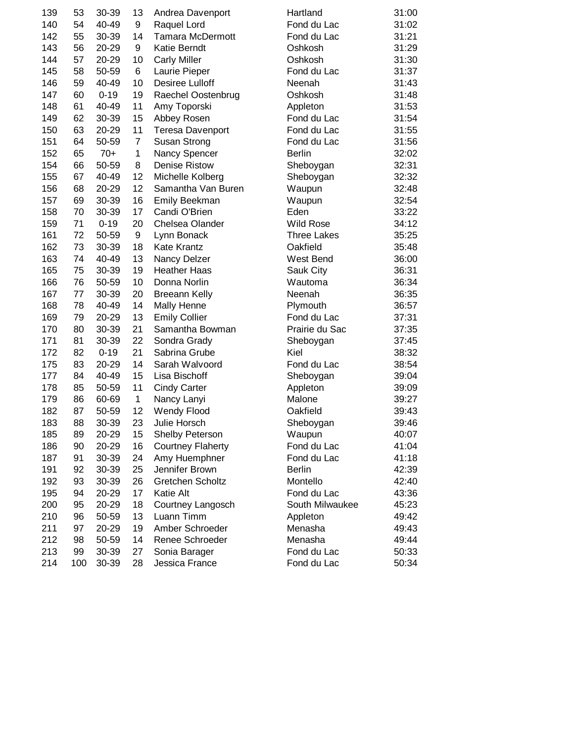| 139 | 53  | 30-39    | 13             | Andrea Davenport         | Hartland           | 31:00 |
|-----|-----|----------|----------------|--------------------------|--------------------|-------|
| 140 | 54  | 40-49    | 9              | Raquel Lord              | Fond du Lac        | 31:02 |
| 142 | 55  | 30-39    | 14             | <b>Tamara McDermott</b>  | Fond du Lac        | 31:21 |
| 143 | 56  | 20-29    | 9              | Katie Berndt             | Oshkosh            | 31:29 |
| 144 | 57  | 20-29    | 10             | <b>Carly Miller</b>      | Oshkosh            | 31:30 |
| 145 | 58  | 50-59    | 6              | Laurie Pieper            | Fond du Lac        | 31:37 |
| 146 | 59  | 40-49    | 10             | Desiree Lulloff          | Neenah             | 31:43 |
| 147 | 60  | $0 - 19$ | 19             | Raechel Oostenbrug       | Oshkosh            | 31:48 |
| 148 | 61  | 40-49    | 11             | Amy Toporski             | Appleton           | 31:53 |
| 149 | 62  | 30-39    | 15             | Abbey Rosen              | Fond du Lac        | 31:54 |
| 150 | 63  | 20-29    | 11             | Teresa Davenport         | Fond du Lac        | 31:55 |
| 151 | 64  | 50-59    | $\overline{7}$ | Susan Strong             | Fond du Lac        | 31:56 |
| 152 | 65  | $70+$    | $\mathbf 1$    | Nancy Spencer            | <b>Berlin</b>      | 32:02 |
| 154 | 66  | 50-59    | 8              | <b>Denise Ristow</b>     | Sheboygan          | 32:31 |
| 155 | 67  | 40-49    | 12             | Michelle Kolberg         | Sheboygan          | 32:32 |
| 156 | 68  | 20-29    | 12             | Samantha Van Buren       | Waupun             | 32:48 |
| 157 | 69  | 30-39    | 16             | Emily Beekman            | Waupun             | 32:54 |
| 158 | 70  | 30-39    | 17             | Candi O'Brien            | Eden               | 33:22 |
| 159 | 71  | $0 - 19$ | 20             | Chelsea Olander          | <b>Wild Rose</b>   | 34:12 |
| 161 | 72  | 50-59    | 9              | Lynn Bonack              | <b>Three Lakes</b> | 35:25 |
| 162 | 73  | 30-39    | 18             | <b>Kate Krantz</b>       | Oakfield           | 35:48 |
| 163 | 74  | 40-49    | 13             | Nancy Delzer             | West Bend          | 36:00 |
| 165 | 75  | 30-39    | 19             | <b>Heather Haas</b>      | Sauk City          | 36:31 |
| 166 | 76  | 50-59    | 10             | Donna Norlin             | Wautoma            | 36:34 |
| 167 | 77  | 30-39    | 20             | <b>Breeann Kelly</b>     | Neenah             | 36:35 |
| 168 | 78  | 40-49    | 14             | Mally Henne              | Plymouth           | 36:57 |
| 169 | 79  | 20-29    | 13             | <b>Emily Collier</b>     | Fond du Lac        | 37:31 |
| 170 | 80  | 30-39    | 21             | Samantha Bowman          | Prairie du Sac     | 37:35 |
| 171 | 81  | 30-39    | 22             | Sondra Grady             | Sheboygan          | 37:45 |
| 172 | 82  | $0 - 19$ | 21             | Sabrina Grube            | Kiel               | 38:32 |
| 175 | 83  | 20-29    | 14             | Sarah Walvoord           | Fond du Lac        | 38:54 |
| 177 | 84  | 40-49    | 15             | Lisa Bischoff            | Sheboygan          | 39:04 |
| 178 | 85  | 50-59    | 11             | <b>Cindy Carter</b>      | Appleton           | 39:09 |
| 179 | 86  | 60-69    | $\mathbf{1}$   | Nancy Lanyi              | Malone             | 39:27 |
| 182 | 87  | 50-59    | 12             | <b>Wendy Flood</b>       | Oakfield           | 39:43 |
| 183 | 88  | 30-39    | 23             | Julie Horsch             | Sheboygan          | 39:46 |
| 185 | 89  | 20-29    | 15             | <b>Shelby Peterson</b>   | Waupun             | 40:07 |
| 186 | 90  | 20-29    | 16             | <b>Courtney Flaherty</b> | Fond du Lac        | 41:04 |
| 187 | 91  | 30-39    | 24             | Amy Huemphner            | Fond du Lac        | 41:18 |
| 191 | 92  | 30-39    | 25             | Jennifer Brown           | <b>Berlin</b>      | 42:39 |
| 192 | 93  | 30-39    | 26             | <b>Gretchen Scholtz</b>  | Montello           | 42:40 |
| 195 | 94  | 20-29    | 17             | Katie Alt                | Fond du Lac        | 43:36 |
| 200 | 95  | 20-29    | 18             | Courtney Langosch        | South Milwaukee    | 45:23 |
| 210 | 96  | 50-59    | 13             | Luann Timm               | Appleton           | 49:42 |
| 211 | 97  | 20-29    | 19             | Amber Schroeder          | Menasha            | 49:43 |
| 212 | 98  | 50-59    | 14             | Renee Schroeder          | Menasha            | 49:44 |
| 213 | 99  | 30-39    | 27             | Sonia Barager            | Fond du Lac        | 50:33 |
| 214 | 100 | 30-39    | 28             | Jessica France           | Fond du Lac        | 50:34 |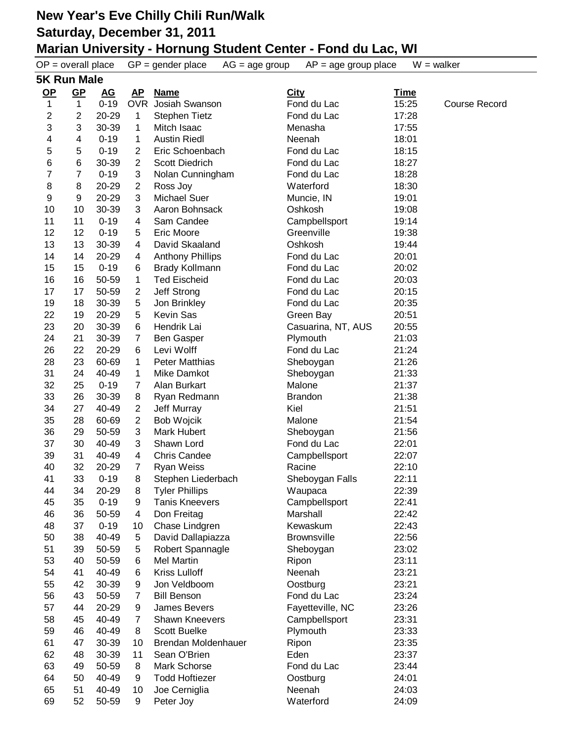|                | $OP = overall place$      |                  |                | $GP = gender place$<br>$AG = age$ group | $AP = age$ group place | $W = walker$ |                      |  |
|----------------|---------------------------|------------------|----------------|-----------------------------------------|------------------------|--------------|----------------------|--|
|                | <b>5K Run Male</b>        |                  |                |                                         |                        |              |                      |  |
| $OP$           | $GP$                      | $\underline{AG}$ | <u>AP</u>      | <b>Name</b>                             | <b>City</b>            | <u>Time</u>  |                      |  |
| 1              | $\mathbf{1}$              | $0 - 19$         | <b>OVR</b>     | Josiah Swanson                          | Fond du Lac            | 15:25        | <b>Course Record</b> |  |
| $\overline{c}$ | $\overline{2}$            | 20-29            | $\mathbf{1}$   | <b>Stephen Tietz</b>                    | Fond du Lac            | 17:28        |                      |  |
| 3              | $\ensuremath{\mathsf{3}}$ | 30-39            | 1              | Mitch Isaac                             | Menasha                | 17:55        |                      |  |
| 4              | 4                         | $0 - 19$         | 1              | <b>Austin Riedl</b>                     | Neenah                 | 18:01        |                      |  |
| 5              | 5                         | $0 - 19$         | 2              | Eric Schoenbach                         | Fond du Lac            | 18:15        |                      |  |
| 6              | 6                         | 30-39            | $\overline{2}$ | <b>Scott Diedrich</b>                   | Fond du Lac            | 18:27        |                      |  |
| 7              | $\overline{7}$            | $0 - 19$         | 3              | Nolan Cunningham                        | Fond du Lac            | 18:28        |                      |  |
| 8              | 8                         | 20-29            | 2              | Ross Joy                                | Waterford              | 18:30        |                      |  |
| 9              | 9                         | 20-29            | 3              | <b>Michael Suer</b>                     | Muncie, IN             | 19:01        |                      |  |
| 10             | 10                        | 30-39            | 3              | Aaron Bohnsack                          | Oshkosh                | 19:08        |                      |  |
| 11             | 11                        | $0 - 19$         | 4              | Sam Candee                              | Campbellsport          | 19:14        |                      |  |
| 12             | 12                        | $0 - 19$         | 5              | Eric Moore                              | Greenville             | 19:38        |                      |  |
| 13             | 13                        | 30-39            | 4              | David Skaaland                          | Oshkosh                | 19:44        |                      |  |
| 14             | 14                        | 20-29            | 4              | <b>Anthony Phillips</b>                 | Fond du Lac            | 20:01        |                      |  |
| 15             | 15                        | $0 - 19$         | 6              | <b>Brady Kollmann</b>                   | Fond du Lac            | 20:02        |                      |  |
| 16             | 16                        | 50-59            | 1              | <b>Ted Eischeid</b>                     | Fond du Lac            | 20:03        |                      |  |
| 17             | 17                        | 50-59            | $\overline{2}$ | Jeff Strong                             | Fond du Lac            | 20:15        |                      |  |
| 19             | 18                        | 30-39            | $\sqrt{5}$     | Jon Brinkley                            | Fond du Lac            | 20:35        |                      |  |
| 22             |                           | 20-29            |                | <b>Kevin Sas</b>                        |                        |              |                      |  |
|                | 19                        | 30-39            | 5              | Hendrik Lai                             | Green Bay              | 20:51        |                      |  |
| 23             | 20                        |                  | 6              |                                         | Casuarina, NT, AUS     | 20:55        |                      |  |
| 24             | 21                        | 30-39            | 7              | <b>Ben Gasper</b>                       | Plymouth               | 21:03        |                      |  |
| 26             | 22                        | 20-29            | 6              | Levi Wolff                              | Fond du Lac            | 21:24        |                      |  |
| 28             | 23                        | 60-69            | 1              | <b>Peter Matthias</b>                   | Sheboygan              | 21:26        |                      |  |
| 31             | 24                        | 40-49            | 1.             | Mike Damkot                             | Sheboygan              | 21:33        |                      |  |
| 32             | 25                        | $0 - 19$         | 7              | Alan Burkart                            | Malone                 | 21:37        |                      |  |
| 33             | 26                        | 30-39            | 8              | Ryan Redmann                            | <b>Brandon</b>         | 21:38        |                      |  |
| 34             | 27                        | 40-49            | 2              | Jeff Murray                             | Kiel                   | 21:51        |                      |  |
| 35             | 28                        | 60-69            | 2              | Bob Wojcik                              | Malone                 | 21:54        |                      |  |
| 36             | 29                        | 50-59            | 3              | Mark Hubert                             | Sheboygan              | 21:56        |                      |  |
| 37             | 30                        | 40-49            | 3              | Shawn Lord                              | Fond du Lac            | 22:01        |                      |  |
| 39             | 31                        | 40-49            | 4              | <b>Chris Candee</b>                     | Campbellsport          | 22:07        |                      |  |
| 40             | 32                        | 20-29            | 7              | <b>Ryan Weiss</b>                       | Racine                 | 22:10        |                      |  |
| 41             | 33                        | $0 - 19$         | 8              | Stephen Liederbach                      | Sheboygan Falls        | 22:11        |                      |  |
| 44             | 34                        | 20-29            | 8              | <b>Tyler Phillips</b>                   | Waupaca                | 22:39        |                      |  |
| 45             | 35                        | $0 - 19$         | 9              | <b>Tanis Kneevers</b>                   | Campbellsport          | 22:41        |                      |  |
| 46             | 36                        | 50-59            | 4              | Don Freitag                             | Marshall               | 22:42        |                      |  |
| 48             | 37                        | $0 - 19$         | 10             | Chase Lindgren                          | Kewaskum               | 22:43        |                      |  |
| 50             | 38                        | 40-49            | 5              | David Dallapiazza                       | <b>Brownsville</b>     | 22:56        |                      |  |
| 51             | 39                        | 50-59            | 5              | Robert Spannagle                        | Sheboygan              | 23:02        |                      |  |
| 53             | 40                        | 50-59            | 6              | <b>Mel Martin</b>                       | Ripon                  | 23:11        |                      |  |
| 54             | 41                        | 40-49            | 6              | <b>Kriss Lulloff</b>                    | Neenah                 | 23:21        |                      |  |
| 55             | 42                        | 30-39            | 9              | Jon Veldboom                            | Oostburg               | 23:21        |                      |  |
| 56             | 43                        | 50-59            | 7              | <b>Bill Benson</b>                      | Fond du Lac            | 23:24        |                      |  |
| 57             | 44                        | 20-29            | 9              | James Bevers                            | Fayetteville, NC       | 23:26        |                      |  |
| 58             | 45                        | 40-49            | 7              | Shawn Kneevers                          | Campbellsport          | 23:31        |                      |  |
| 59             | 46                        | 40-49            | 8              | <b>Scott Buelke</b>                     | Plymouth               | 23:33        |                      |  |
| 61             | 47                        | 30-39            | 10             | Brendan Moldenhauer                     | Ripon                  | 23:35        |                      |  |
| 62             | 48                        | 30-39            | 11             | Sean O'Brien                            | Eden                   | 23:37        |                      |  |
| 63             | 49                        | 50-59            | 8              | Mark Schorse                            | Fond du Lac            | 23:44        |                      |  |
| 64             | 50                        | 40-49            | 9              | <b>Todd Hoftiezer</b>                   | Oostburg               | 24:01        |                      |  |
| 65             | 51                        | 40-49            | 10             | Joe Cerniglia                           | Neenah                 | 24:03        |                      |  |
| 69             | 52                        | 50-59            | 9              | Peter Joy                               | Waterford              | 24:09        |                      |  |
|                |                           |                  |                |                                         |                        |              |                      |  |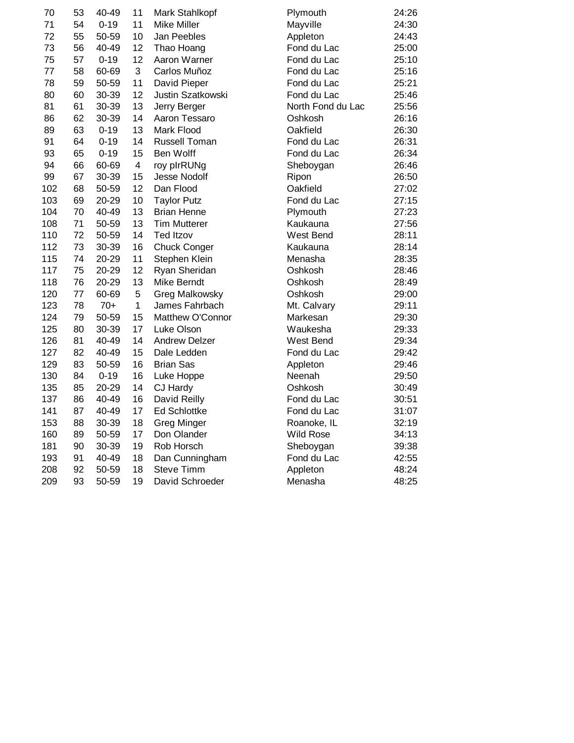| 70  | 53 | 40-49    | 11             | Mark Stahlkopf       | Plymouth          | 24:26 |
|-----|----|----------|----------------|----------------------|-------------------|-------|
| 71  | 54 | $0 - 19$ | 11             | <b>Mike Miller</b>   | Mayville          | 24:30 |
| 72  | 55 | 50-59    | 10             | Jan Peebles          | Appleton          | 24:43 |
| 73  | 56 | 40-49    | 12             | Thao Hoang           | Fond du Lac       | 25:00 |
| 75  | 57 | $0 - 19$ | 12             | Aaron Warner         | Fond du Lac       | 25:10 |
| 77  | 58 | 60-69    | $\mathbf{3}$   | Carlos Muñoz         | Fond du Lac       | 25:16 |
| 78  | 59 | 50-59    | 11             | David Pieper         | Fond du Lac       | 25:21 |
| 80  | 60 | 30-39    | 12             | Justin Szatkowski    | Fond du Lac       | 25:46 |
| 81  | 61 | 30-39    | 13             | Jerry Berger         | North Fond du Lac | 25:56 |
| 86  | 62 | 30-39    | 14             | Aaron Tessaro        | Oshkosh           | 26:16 |
| 89  | 63 | $0 - 19$ | 13             | Mark Flood           | Oakfield          | 26:30 |
| 91  | 64 | $0 - 19$ | 14             | <b>Russell Toman</b> | Fond du Lac       | 26:31 |
| 93  | 65 | $0 - 19$ | 15             | Ben Wolff            | Fond du Lac       | 26:34 |
| 94  | 66 | 60-69    | $\overline{4}$ | roy plrRUNg          | Sheboygan         | 26:46 |
| 99  | 67 | 30-39    | 15             | Jesse Nodolf         | Ripon             | 26:50 |
| 102 | 68 | 50-59    | 12             | Dan Flood            | Oakfield          | 27:02 |
| 103 | 69 | 20-29    | 10             | <b>Taylor Putz</b>   | Fond du Lac       | 27:15 |
| 104 | 70 | 40-49    | 13             | <b>Brian Henne</b>   | Plymouth          | 27:23 |
| 108 | 71 | 50-59    | 13             | <b>Tim Mutterer</b>  | Kaukauna          | 27:56 |
| 110 | 72 | 50-59    | 14             | <b>Ted Itzov</b>     | West Bend         | 28:11 |
| 112 | 73 | 30-39    | 16             | <b>Chuck Conger</b>  | Kaukauna          | 28:14 |
| 115 | 74 | 20-29    | 11             | Stephen Klein        | Menasha           | 28:35 |
| 117 | 75 | 20-29    | 12             | Ryan Sheridan        | Oshkosh           | 28:46 |
| 118 | 76 | 20-29    | 13             | Mike Berndt          | Oshkosh           | 28:49 |
| 120 | 77 | 60-69    | 5              | Greg Malkowsky       | Oshkosh           | 29:00 |
| 123 | 78 | $70+$    | $\mathbf{1}$   | James Fahrbach       | Mt. Calvary       | 29:11 |
| 124 | 79 | 50-59    | 15             | Matthew O'Connor     | Markesan          | 29:30 |
| 125 | 80 | 30-39    | 17             | Luke Olson           | Waukesha          | 29:33 |
| 126 | 81 | 40-49    | 14             | <b>Andrew Delzer</b> | West Bend         | 29:34 |
| 127 | 82 | 40-49    | 15             | Dale Ledden          | Fond du Lac       | 29:42 |
| 129 | 83 | 50-59    | 16             | <b>Brian Sas</b>     | Appleton          | 29:46 |
| 130 | 84 | $0 - 19$ | 16             | Luke Hoppe           | Neenah            | 29:50 |
| 135 | 85 | 20-29    | 14             | CJ Hardy             | Oshkosh           | 30:49 |
| 137 | 86 | 40-49    | 16             | David Reilly         | Fond du Lac       | 30:51 |
| 141 | 87 | 40-49    | 17             | <b>Ed Schlottke</b>  | Fond du Lac       | 31:07 |
| 153 | 88 | 30-39    | 18             | <b>Greg Minger</b>   | Roanoke, IL       | 32:19 |
| 160 | 89 | 50-59    | 17             | Don Olander          | <b>Wild Rose</b>  | 34:13 |
| 181 | 90 | 30-39    | 19             | Rob Horsch           | Sheboygan         | 39:38 |
| 193 | 91 | 40-49    | 18             | Dan Cunningham       | Fond du Lac       | 42:55 |
| 208 | 92 | 50-59    | 18             | <b>Steve Timm</b>    | Appleton          | 48:24 |
| 209 | 93 | 50-59    | 19             | David Schroeder      | Menasha           | 48:25 |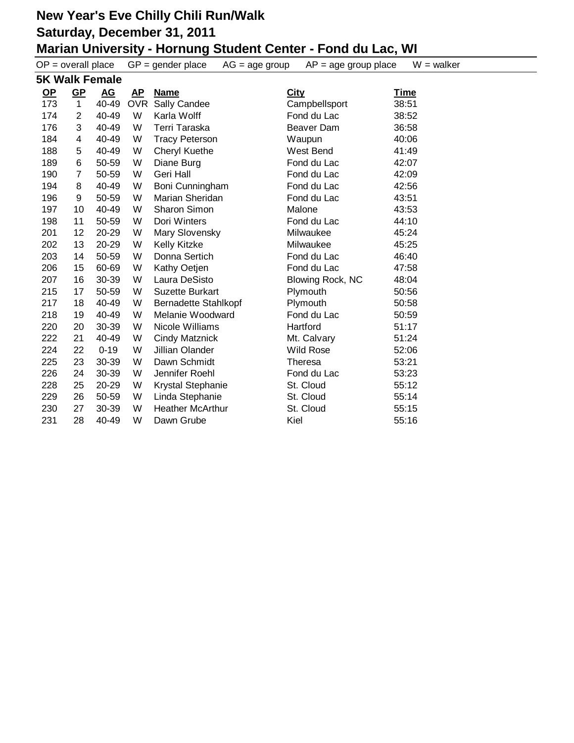|      | $OP = overall place$ |                       |    | $GP = gender place$<br>$AG = age$ group | $AP = age$ group place  | $W = walker$ |
|------|----------------------|-----------------------|----|-----------------------------------------|-------------------------|--------------|
|      |                      | <b>5K Walk Female</b> |    |                                         |                         |              |
| $OP$ | $GP$                 | <u>AG</u>             | AP | <b>Name</b>                             | City                    | <u>Time</u>  |
| 173  | 1                    | 40-49                 |    | OVR Sally Candee                        | Campbellsport           | 38:51        |
| 174  | $\overline{2}$       | 40-49                 | W  | Karla Wolff                             | Fond du Lac             | 38:52        |
| 176  | 3                    | 40-49                 | W  | Terri Taraska                           | Beaver Dam              | 36:58        |
| 184  | 4                    | 40-49                 | W  | <b>Tracy Peterson</b>                   | Waupun                  | 40:06        |
| 188  | 5                    | 40-49                 | W  | Cheryl Kuethe                           | West Bend               | 41:49        |
| 189  | 6                    | 50-59                 | W  | Diane Burg                              | Fond du Lac             | 42:07        |
| 190  | 7                    | 50-59                 | W  | Geri Hall                               | Fond du Lac             | 42:09        |
| 194  | 8                    | 40-49                 | W  | Boni Cunningham                         | Fond du Lac             | 42:56        |
| 196  | 9                    | 50-59                 | W  | Marian Sheridan                         | Fond du Lac             | 43:51        |
| 197  | 10                   | 40-49                 | W  | Sharon Simon                            | Malone                  | 43:53        |
| 198  | 11                   | 50-59                 | W  | Dori Winters                            | Fond du Lac             | 44:10        |
| 201  | 12                   | 20-29                 | W  | Mary Slovensky                          | Milwaukee               | 45:24        |
| 202  | 13                   | 20-29                 | W  | Kelly Kitzke                            | Milwaukee               | 45:25        |
| 203  | 14                   | 50-59                 | W  | Donna Sertich                           | Fond du Lac             | 46:40        |
| 206  | 15                   | 60-69                 | W  | Kathy Oetjen                            | Fond du Lac             | 47:58        |
| 207  | 16                   | 30-39                 | W  | Laura DeSisto                           | <b>Blowing Rock, NC</b> | 48:04        |
| 215  | 17                   | 50-59                 | W  | <b>Suzette Burkart</b>                  | Plymouth                | 50:56        |
| 217  | 18                   | 40-49                 | W  | <b>Bernadette Stahlkopf</b>             | Plymouth                | 50:58        |
| 218  | 19                   | 40-49                 | W  | Melanie Woodward                        | Fond du Lac             | 50:59        |
| 220  | 20                   | 30-39                 | W  | Nicole Williams                         | Hartford                | 51:17        |
| 222  | 21                   | 40-49                 | W  | <b>Cindy Matznick</b>                   | Mt. Calvary             | 51:24        |
| 224  | 22                   | $0 - 19$              | W  | Jillian Olander                         | <b>Wild Rose</b>        | 52:06        |
| 225  | 23                   | 30-39                 | W  | Dawn Schmidt                            | <b>Theresa</b>          | 53:21        |
| 226  | 24                   | 30-39                 | W  | Jennifer Roehl                          | Fond du Lac             | 53:23        |
| 228  | 25                   | 20-29                 | W  | Krystal Stephanie                       | St. Cloud               | 55:12        |
| 229  | 26                   | 50-59                 | W  | Linda Stephanie                         | St. Cloud               | 55:14        |
| 230  | 27                   | 30-39                 | W  | <b>Heather McArthur</b>                 | St. Cloud               | 55:15        |
| 231  | 28                   | 40-49                 | W  | Dawn Grube                              | Kiel                    | 55:16        |
|      |                      |                       |    |                                         |                         |              |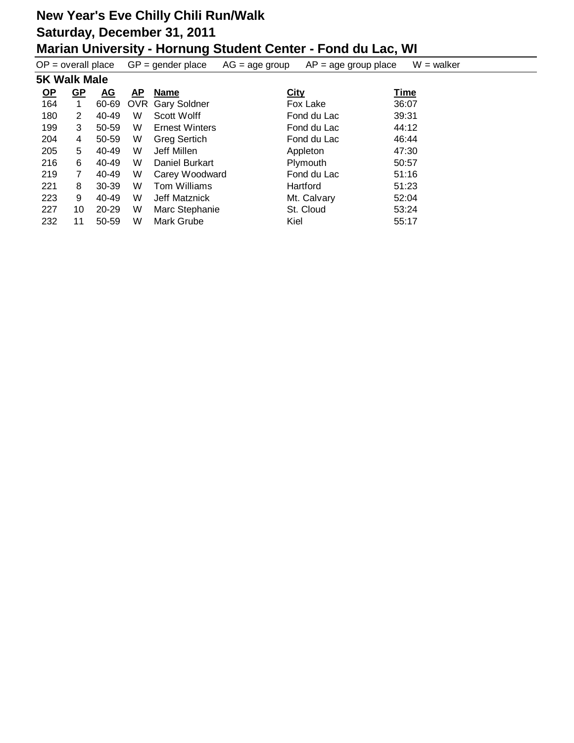| $OP = overall place$ |           |           |            | $GP = gender place$   | $AG = age$ group | $AP = age$ group place | $W = walker$ |
|----------------------|-----------|-----------|------------|-----------------------|------------------|------------------------|--------------|
| <b>5K Walk Male</b>  |           |           |            |                       |                  |                        |              |
| <u>OP</u>            | <u>GP</u> | <u>AG</u> | <u>AP</u>  | <b>Name</b>           |                  | <b>City</b>            | <b>Time</b>  |
| 164                  |           | 60-69     | <b>OVR</b> | <b>Gary Soldner</b>   |                  | Fox Lake               | 36:07        |
| 180                  | 2         | 40-49     | W          | Scott Wolff           |                  | Fond du Lac            | 39:31        |
| 199                  | 3         | 50-59     | W          | <b>Ernest Winters</b> |                  | Fond du Lac            | 44:12        |
| 204                  | 4         | 50-59     | W          | <b>Greg Sertich</b>   |                  | Fond du Lac            | 46:44        |
| 205                  | 5         | 40-49     | W          | Jeff Millen           |                  | Appleton               | 47:30        |
| 216                  | 6         | 40-49     | W          | Daniel Burkart        |                  | Plymouth               | 50:57        |
| 219                  | 7         | 40-49     | W          | Carey Woodward        |                  | Fond du Lac            | 51:16        |
| 221                  | 8         | 30-39     | W          | Tom Williams          |                  | Hartford               | 51:23        |
| 223                  | 9         | 40-49     | W          | Jeff Matznick         |                  | Mt. Calvary            | 52:04        |
| 227                  | 10        | $20 - 29$ | W          | Marc Stephanie        |                  | St. Cloud              | 53:24        |
| 232                  | 11        | 50-59     | W          | Mark Grube            |                  | Kiel                   | 55:17        |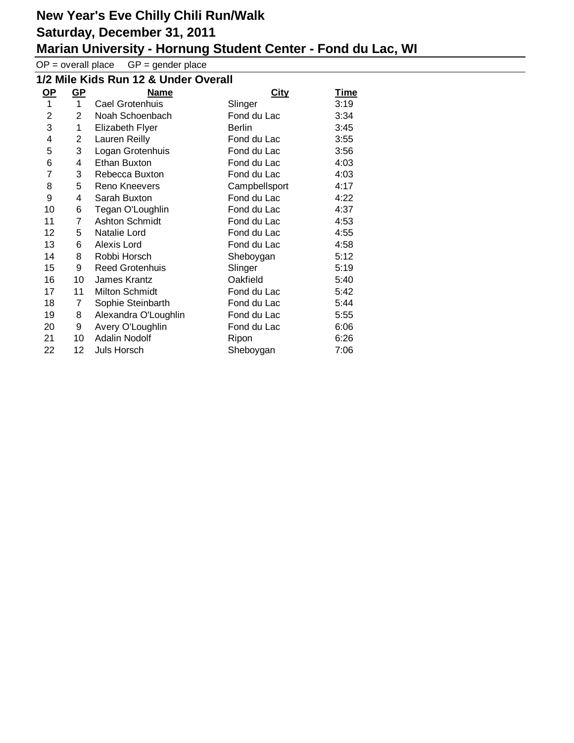$OP =$  overall place  $GP =$  gender place

#### **1/2 Mile Kids Run 12 & Under Overall**

| <u>OP</u> | <u>GP</u>      | <b>Name</b>            | <b>City</b>   | <u>Time</u> |
|-----------|----------------|------------------------|---------------|-------------|
| 1         | $\mathbf 1$    | Cael Grotenhuis        | Slinger       | 3:19        |
| 2         | $\overline{2}$ | Noah Schoenbach        | Fond du Lac   | 3:34        |
| 3         | 1              | <b>Elizabeth Flyer</b> | <b>Berlin</b> | 3:45        |
| 4         | 2              | Lauren Reilly          | Fond du Lac   | 3:55        |
| 5         | 3              | Logan Grotenhuis       | Fond du Lac   | 3:56        |
| 6         | 4              | Ethan Buxton           | Fond du Lac   | 4:03        |
| 7         | 3              | Rebecca Buxton         | Fond du Lac   | 4:03        |
| 8         | 5              | Reno Kneevers          | Campbellsport | 4:17        |
| 9         | 4              | Sarah Buxton           | Fond du Lac   | 4:22        |
| 10        | 6              | Tegan O'Loughlin       | Fond du Lac   | 4:37        |
| 11        | 7              | <b>Ashton Schmidt</b>  | Fond du Lac   | 4:53        |
| 12        | 5              | Natalie Lord           | Fond du Lac   | 4:55        |
| 13        | 6              | Alexis Lord            | Fond du Lac   | 4:58        |
| 14        | 8              | Robbi Horsch           | Sheboygan     | 5:12        |
| 15        | 9              | <b>Reed Grotenhuis</b> | Slinger       | 5:19        |
| 16        | 10             | James Krantz           | Oakfield      | 5:40        |
| 17        | 11             | Milton Schmidt         | Fond du Lac   | 5:42        |
| 18        | 7              | Sophie Steinbarth      | Fond du Lac   | 5:44        |
| 19        | 8              | Alexandra O'Loughlin   | Fond du Lac   | 5:55        |
| 20        | 9              | Avery O'Loughlin       | Fond du Lac   | 6:06        |
| 21        | 10             | Adalin Nodolf          | Ripon         | 6:26        |
| 22        | 12             | Juls Horsch            | Sheboygan     | 7:06        |
|           |                |                        |               |             |